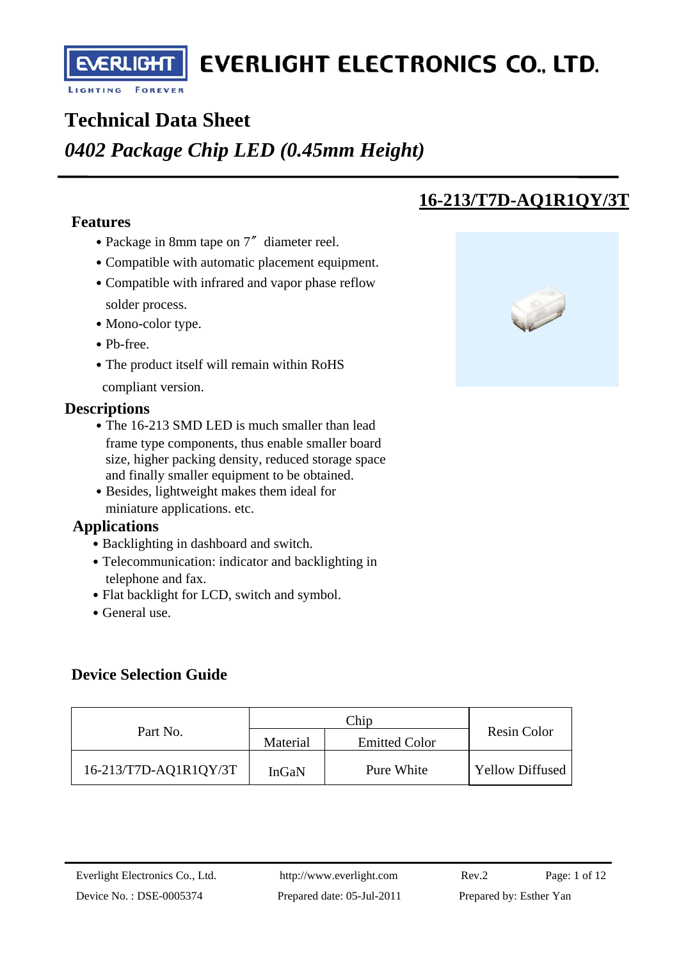ERLIC<del>H</del>

## **Technical Data Sheet**

## *0402 Package Chip LED (0.45mm Height)*

#### **Features**

- Package in 8mm tape on 7<sup>″</sup> diameter reel.
- Compatible with automatic placement equipment.
- Compatible with infrared and vapor phase reflow solder process.
- Mono-color type.
- ․Pb-free.
- The product itself will remain within RoHS
- compliant version.

#### **Descriptions**

- The 16-213 SMD LED is much smaller than lead frame type components, thus enable smaller board size, higher packing density, reduced storage space and finally smaller equipment to be obtained.
- Besides, lightweight makes them ideal for miniature applications. etc.

#### **Applications**

- Backlighting in dashboard and switch.
- Telecommunication: indicator and backlighting in telephone and fax.
- Flat backlight for LCD, switch and symbol.
- General use.

### **Device Selection Guide**

| Part No.              | Material | <b>Emitted Color</b> | Resin Color            |
|-----------------------|----------|----------------------|------------------------|
| 16-213/T7D-AQ1R1QY/3T | InGaN    | Pure White           | <b>Yellow Diffused</b> |

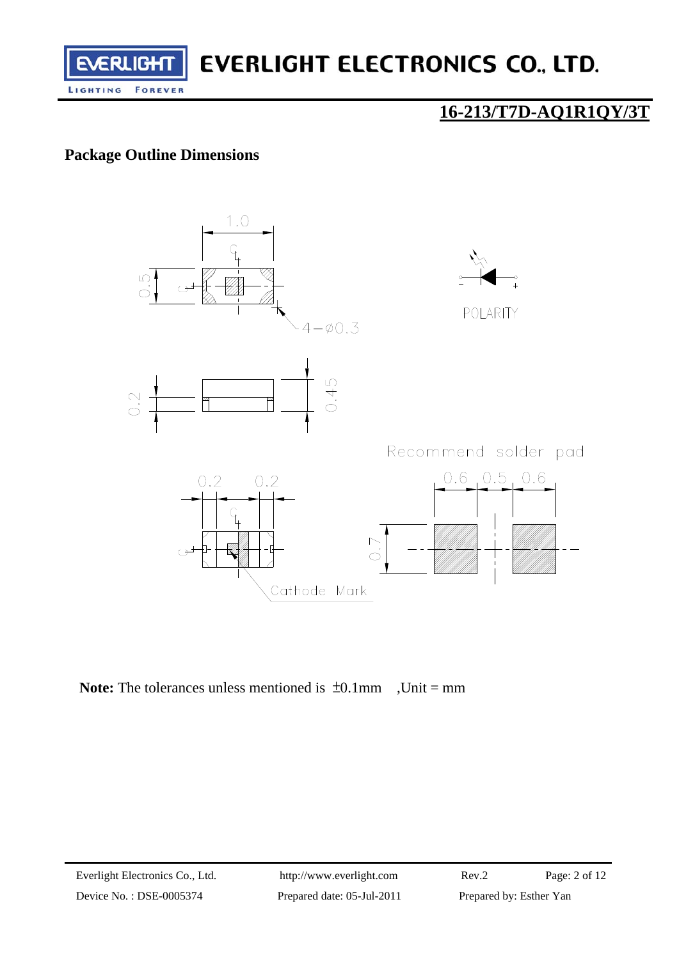

## **16-213/T7D-AQ1R1QY/3T**

### **Package Outline Dimensions**



Note: The tolerances unless mentioned is  $\pm 0.1$ mm, Unit = mm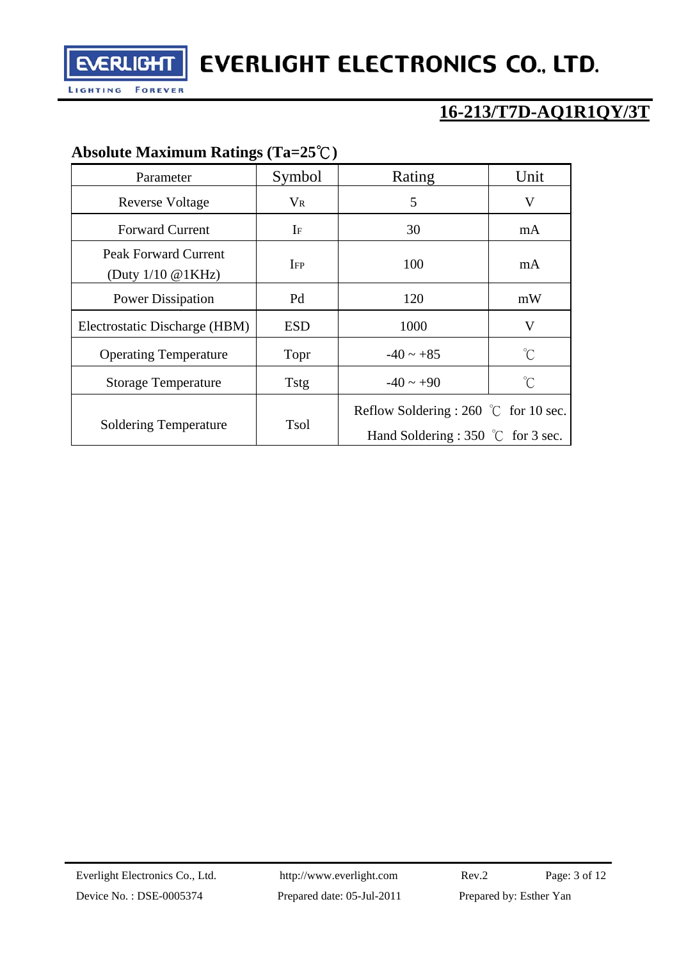

## **16-213/T7D-AQ1R1QY/3T**

## **Absolute Maximum Ratings (Ta=25**℃**)**

| Parameter                                              | Symbol               | Rating                                                                               | Unit                |
|--------------------------------------------------------|----------------------|--------------------------------------------------------------------------------------|---------------------|
| <b>Reverse Voltage</b>                                 | $\rm V_R$            | 5                                                                                    | V                   |
| <b>Forward Current</b>                                 | $\rm I$ <sub>F</sub> | 30                                                                                   | mA                  |
| Peak Forward Current<br>(Duty $1/10 \text{ @ } 1KHz$ ) | $_{\rm IFP}$         | 100                                                                                  | mA                  |
| <b>Power Dissipation</b>                               | Pd                   | 120                                                                                  | mW                  |
| Electrostatic Discharge (HBM)                          | ESD                  | 1000                                                                                 | V                   |
| <b>Operating Temperature</b>                           | Topr                 | $-40 \sim +85$                                                                       | $\int_{0}^{\infty}$ |
| <b>Storage Temperature</b>                             | <b>Tstg</b>          | $-40 \sim +90$                                                                       | $\int_{0}^{\infty}$ |
| <b>Soldering Temperature</b>                           | Tsol                 | Reflow Soldering : 260 °C for 10 sec.<br>Hand Soldering : 350 $\degree$ C for 3 sec. |                     |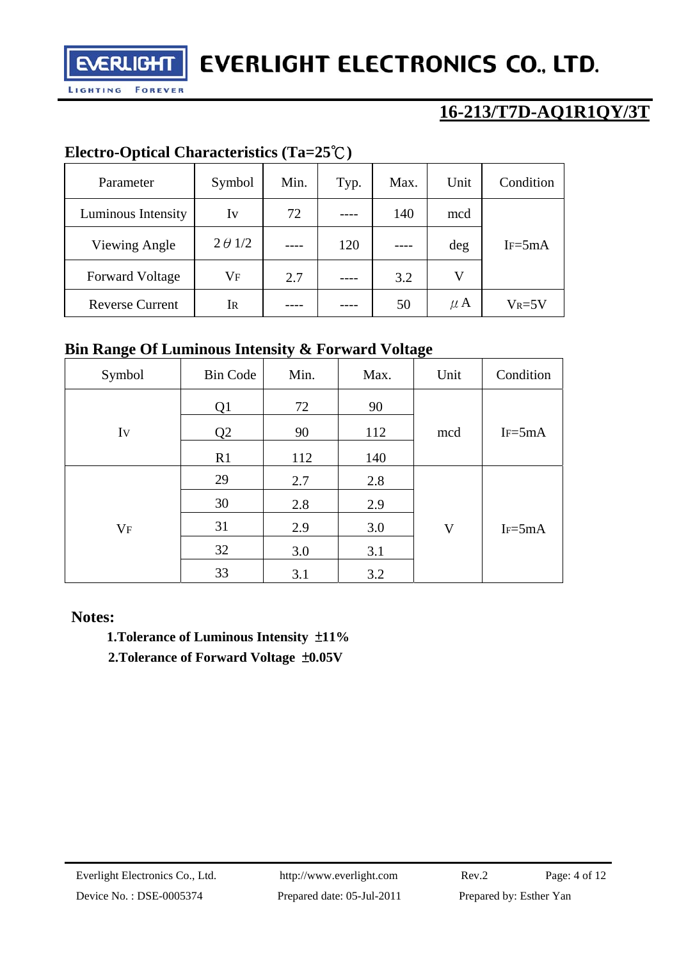

## **16-213/T7D-AQ1R1QY/3T**

### **Electro-Optical Characteristics (Ta=25**℃**)**

| Parameter              | Symbol         | Min. | Typ. | Max. | Unit    | Condition  |
|------------------------|----------------|------|------|------|---------|------------|
| Luminous Intensity     | Iv             | 72   |      | 140  | mcd     |            |
| Viewing Angle          | $2 \theta$ 1/2 |      | 120  |      | deg     | $IF = 5mA$ |
| <b>Forward Voltage</b> | $\rm V_F$      | 2.7  |      | 3.2  | V       |            |
| <b>Reverse Current</b> | Ir             |      |      | 50   | $\mu$ A | $V_R = 5V$ |

### **Bin Range Of Luminous Intensity & Forward Voltage**

| Symbol  | <b>Bin Code</b> | Min. | Max. | Unit        | Condition   |
|---------|-----------------|------|------|-------------|-------------|
|         | Q1              | 72   | 90   |             |             |
| Iv      | Q2              | 90   | 112  | mcd         | $IF = 5mA$  |
|         | R1              | 112  | 140  |             |             |
|         | 29              | 2.7  | 2.8  |             |             |
|         | 30              | 2.8  | 2.9  |             |             |
| $V_{F}$ | 31              | 2.9  | 3.0  | $\mathbf V$ | $I_F = 5mA$ |
|         | 32              | 3.0  | 3.1  |             |             |
|         | 33              | 3.1  | 3.2  |             |             |

#### **Notes:**

 **1.Tolerance of Luminous Intensity** ±**11%** 

**2.Tolerance of Forward Voltage** ±**0.05V**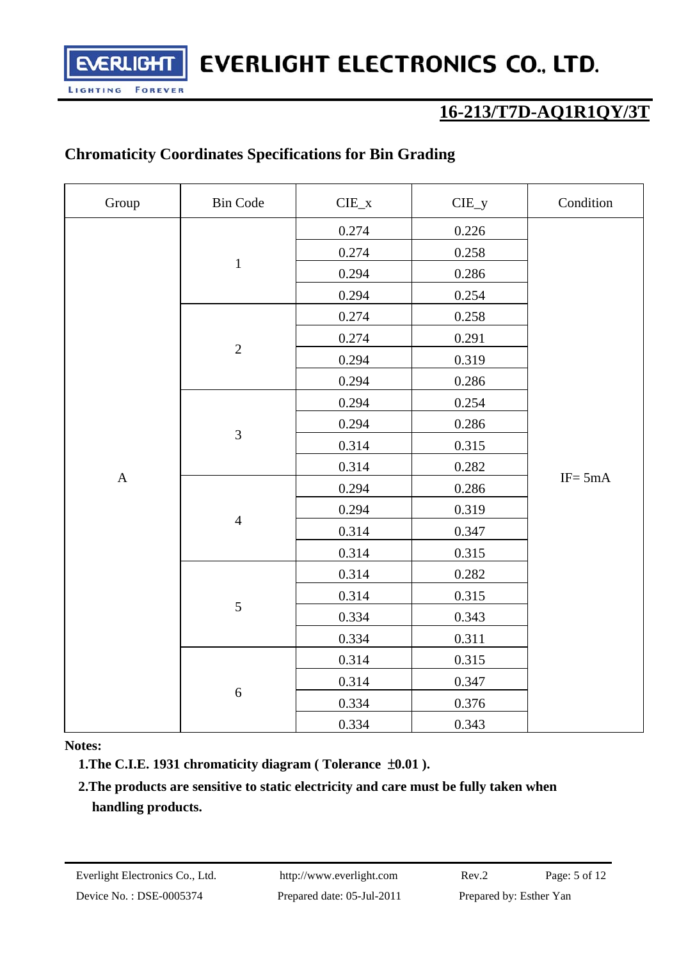## **16-213/T7D-AQ1R1QY/3T**

#### **Chromaticity Coordinates Specifications for Bin Grading**

ERLICH

**FOREVER** 

LIGHTING

| Group       | <b>Bin Code</b> | ${\rm CIE\_x}$ | $CIE_y$ | Condition  |
|-------------|-----------------|----------------|---------|------------|
|             | $\,1\,$         | 0.274          | 0.226   |            |
|             |                 | 0.274          | 0.258   |            |
|             |                 | 0.294          | 0.286   |            |
|             |                 | 0.294          | 0.254   |            |
|             |                 | 0.274          | 0.258   |            |
|             | $\overline{2}$  | 0.274          | 0.291   |            |
|             |                 | 0.294          | 0.319   |            |
|             |                 | 0.294          | 0.286   |            |
|             |                 | 0.294          | 0.254   |            |
|             | $\overline{3}$  | 0.294          | 0.286   |            |
|             |                 | 0.314          | 0.315   |            |
|             |                 | 0.314          | 0.282   | $IF = 5mA$ |
| $\mathbf A$ | $\overline{4}$  | 0.294          | 0.286   |            |
|             |                 | 0.294          | 0.319   |            |
|             |                 | 0.314          | 0.347   |            |
|             |                 | 0.314          | 0.315   |            |
|             | 5               | 0.314          | 0.282   |            |
|             |                 | 0.314          | 0.315   |            |
|             |                 | 0.334          | 0.343   |            |
|             |                 | 0.334          | 0.311   |            |
|             | 6               | 0.314          | 0.315   |            |
|             |                 | 0.314          | 0.347   |            |
|             |                 | 0.334          | 0.376   |            |
|             |                 | 0.334          | 0.343   |            |

#### **Notes:**

**1.The C.I.E. 1931 chromaticity diagram ( Tolerance** ±**0.01 ).** 

#### **2.The products are sensitive to static electricity and care must be fully taken when handling products.**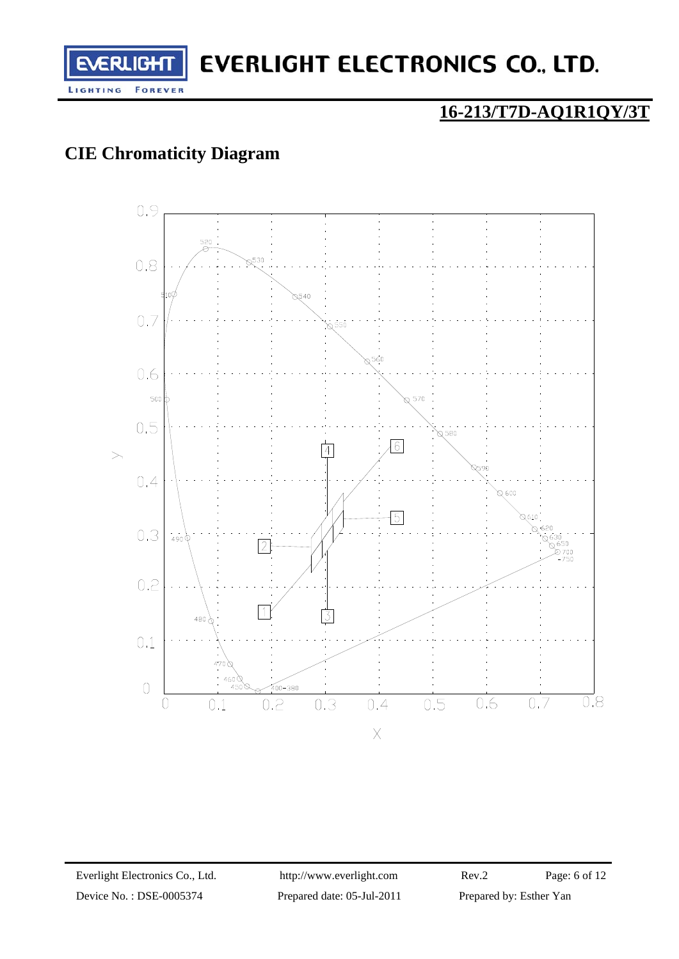

## **16-213/T7D-AQ1R1QY/3T**

## **CIE Chromaticity Diagram**

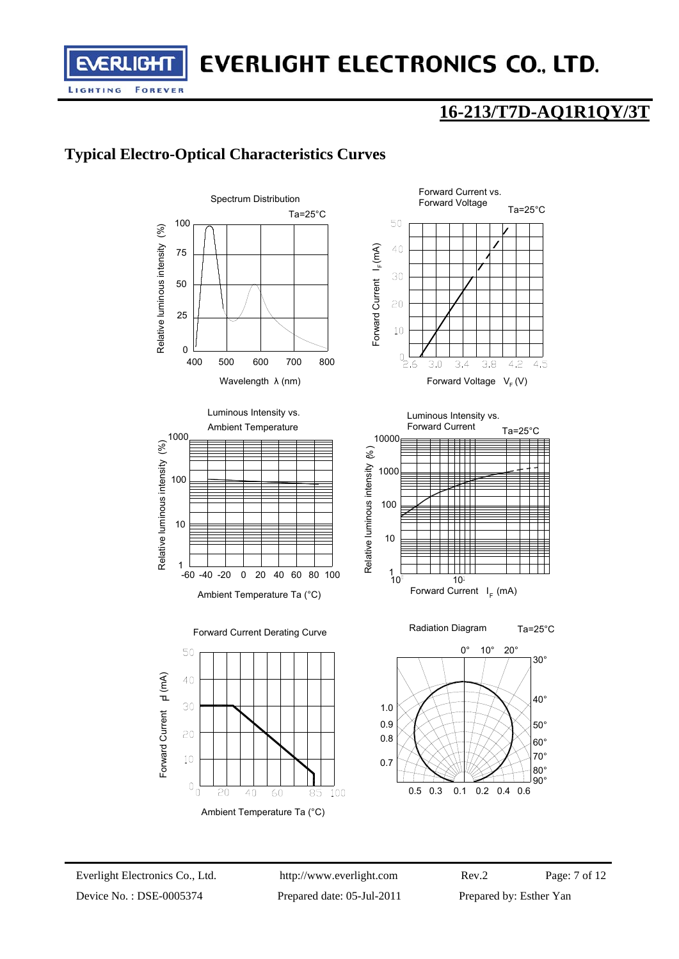## **16-213/T7D-AQ1R1QY/3T**

## **Typical Electro-Optical Characteristics Curves**

RLIG

LIGHTING

**FOREVER** 







Luminous Intensity vs.





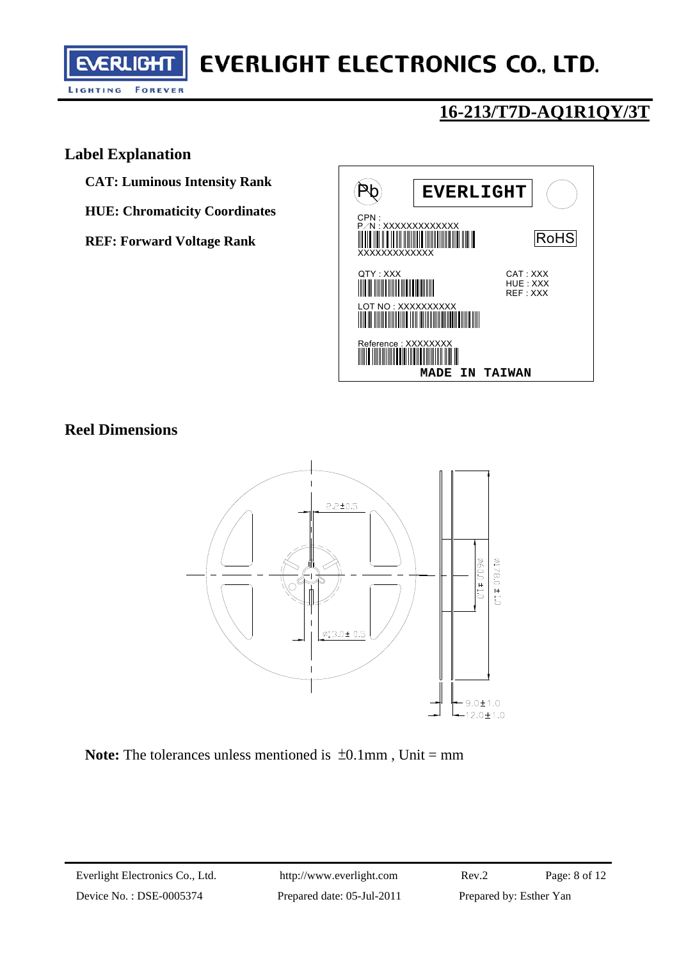

## **16-213/T7D-AQ1R1QY/3T**

#### **Label Explanation**

**CAT: Luminous Intensity Rank** 

**HUE: Chromaticity Coordinates** 

**REF: Forward Voltage Rank** 



#### **Reel Dimensions**



**Note:** The tolerances unless mentioned is  $\pm 0.1$  mm, Unit = mm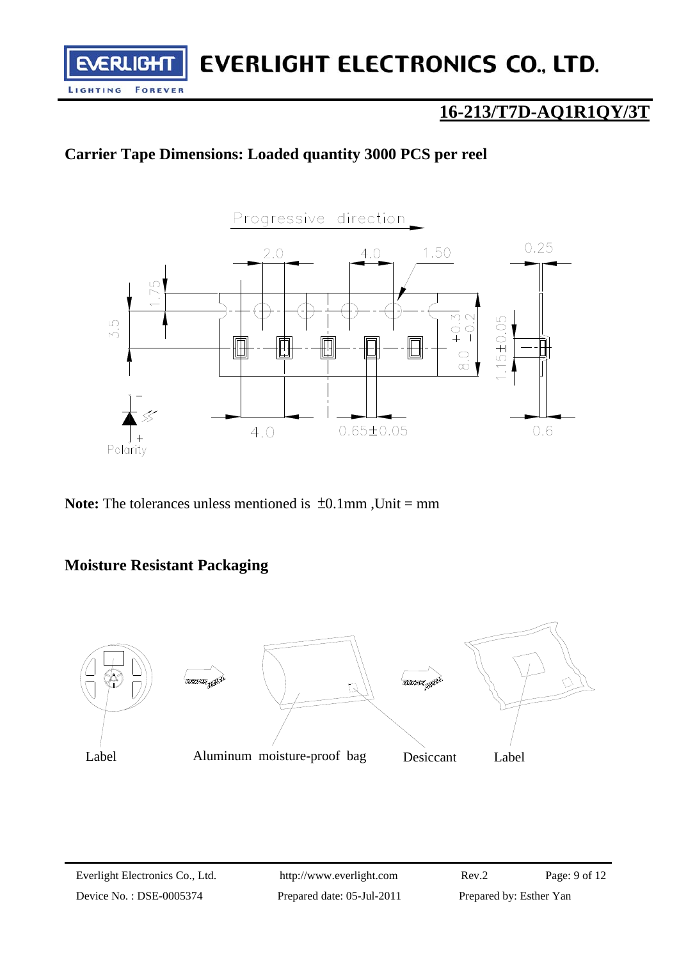### **16-213/T7D-AQ1R1QY/3T**

### **Carrier Tape Dimensions: Loaded quantity 3000 PCS per reel**



**Note:** The tolerances unless mentioned is  $\pm 0.1$ mm, Unit = mm

#### **Moisture Resistant Packaging**

**RLIGH** 

**FOREVER** 

LIGHTING

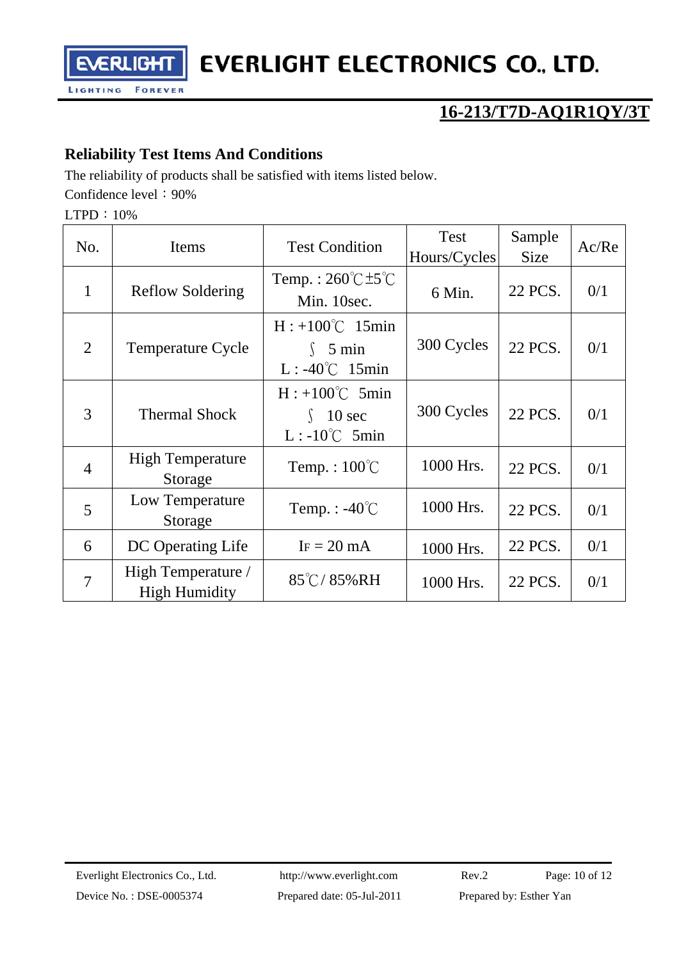

## **16-213/T7D-AQ1R1QY/3T**

### **Reliability Test Items And Conditions**

The reliability of products shall be satisfied with items listed below.

Confidence level: 90%

LTPD:10%

| No.            | Items                                      | <b>Test Condition</b>                                                  | <b>Test</b><br>Hours/Cycles | Sample<br><b>Size</b> | Ac/Re |
|----------------|--------------------------------------------|------------------------------------------------------------------------|-----------------------------|-----------------------|-------|
| $\mathbf{1}$   | <b>Reflow Soldering</b>                    | Temp.: $260^{\circ}$ C $\pm 5^{\circ}$ C<br>Min. 10sec.                | 6 Min.                      | 22 PCS.               | 0/1   |
| $\overline{2}$ | <b>Temperature Cycle</b>                   | $H: +100^{\circ}C$ 15min<br>$\int$ 5 min<br>$L: -40^{\circ}C$ 15min    | 300 Cycles                  | 22 PCS.               | 0/1   |
| 3              | <b>Thermal Shock</b>                       | $H: +100^{\circ}C$ 5min<br>10 <sub>sec</sub><br>$L: -10^{\circ}C$ 5min | 300 Cycles                  | 22 PCS.               | 0/1   |
| $\overline{4}$ | <b>High Temperature</b><br>Storage         | Temp.: $100^{\circ}$ C                                                 | 1000 Hrs.                   | 22 PCS.               | 0/1   |
| 5              | Low Temperature<br>Storage                 | Temp. : $-40^{\circ}$ C                                                | 1000 Hrs.                   | 22 PCS.               | 0/1   |
| 6              | DC Operating Life                          | $IF = 20 mA$                                                           | 1000 Hrs.                   | 22 PCS.               | 0/1   |
| $\overline{7}$ | High Temperature /<br><b>High Humidity</b> | $85^{\circ}$ C/85%RH                                                   | 1000 Hrs.                   | 22 PCS.               | 0/1   |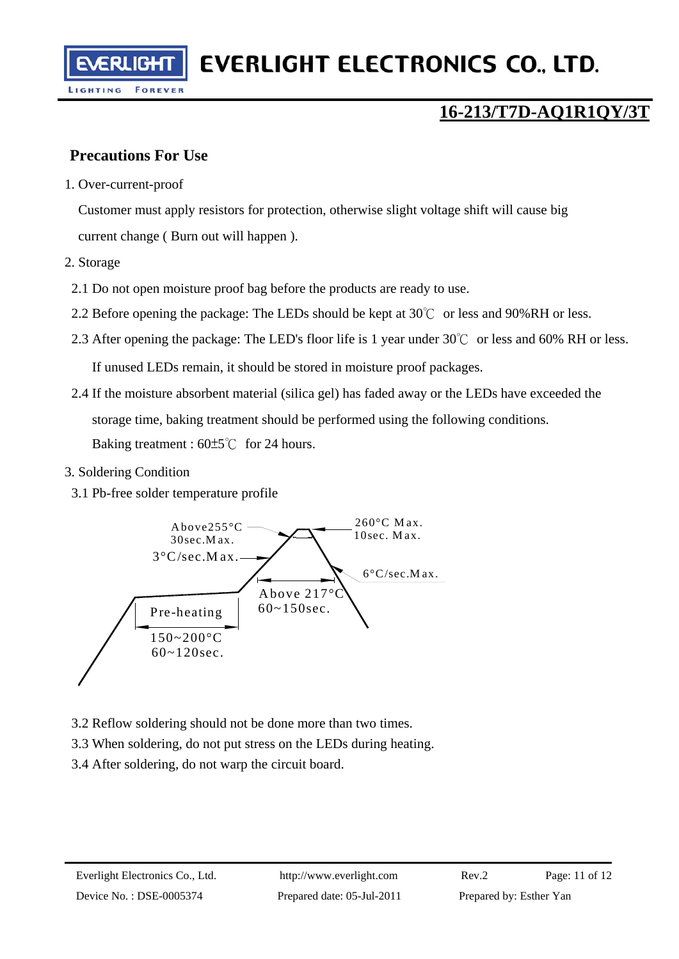### **Precautions For Use**

**FOREVER** 

1. Over-current-proof

Customer must apply resistors for protection, otherwise slight voltage shift will cause big current change ( Burn out will happen ).

2. Storage

LIGHTING

- 2.1 Do not open moisture proof bag before the products are ready to use.
- 2.2 Before opening the package: The LEDs should be kept at  $30^{\circ}$  or less and 90%RH or less.
- 2.3 After opening the package: The LED's floor life is 1 year under 30℃ or less and 60% RH or less. If unused LEDs remain, it should be stored in moisture proof packages.
- 2.4 If the moisture absorbent material (silica gel) has faded away or the LEDs have exceeded the storage time, baking treatment should be performed using the following conditions. Baking treatment : 60±5℃ for 24 hours.
- 3. Soldering Condition
	- 3.1 Pb-free solder temperature profile



- 3.2 Reflow soldering should not be done more than two times.
- 3.3 When soldering, do not put stress on the LEDs during heating.
- 3.4 After soldering, do not warp the circuit board.